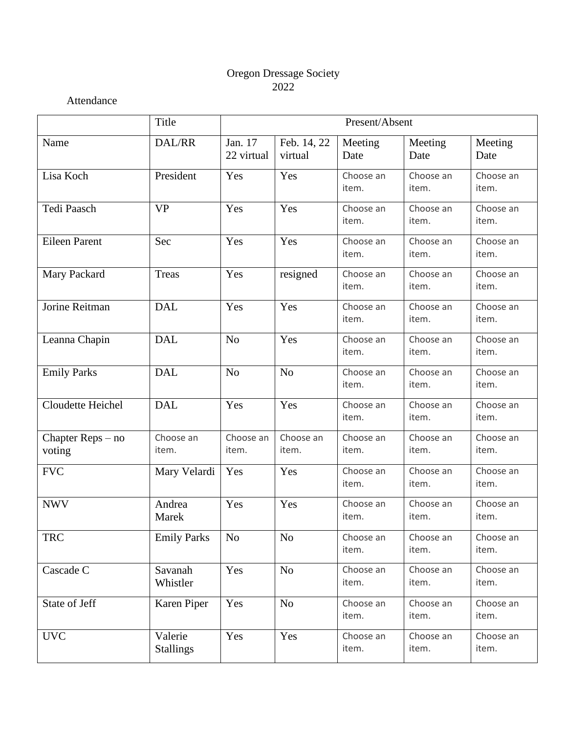# Oregon Dressage Society 2022

Attendance

|                             | Title                       | Present/Absent        |                        |                    |                    |                    |  |
|-----------------------------|-----------------------------|-----------------------|------------------------|--------------------|--------------------|--------------------|--|
| Name                        | DAL/RR                      | Jan. 17<br>22 virtual | Feb. 14, 22<br>virtual | Meeting<br>Date    | Meeting<br>Date    | Meeting<br>Date    |  |
| Lisa Koch                   | President                   | Yes                   | Yes                    | Choose an<br>item. | Choose an<br>item. | Choose an<br>item. |  |
| Tedi Paasch                 | <b>VP</b>                   | Yes                   | Yes                    | Choose an<br>item. | Choose an<br>item. | Choose an<br>item. |  |
| <b>Eileen Parent</b>        | Sec                         | Yes                   | Yes                    | Choose an<br>item. | Choose an<br>item. | Choose an<br>item. |  |
| Mary Packard                | Treas                       | Yes                   | resigned               | Choose an<br>item. | Choose an<br>item. | Choose an<br>item. |  |
| Jorine Reitman              | <b>DAL</b>                  | Yes                   | Yes                    | Choose an<br>item. | Choose an<br>item. | Choose an<br>item. |  |
| Leanna Chapin               | <b>DAL</b>                  | N <sub>o</sub>        | Yes                    | Choose an<br>item. | Choose an<br>item. | Choose an<br>item. |  |
| <b>Emily Parks</b>          | <b>DAL</b>                  | N <sub>o</sub>        | N <sub>o</sub>         | Choose an<br>item. | Choose an<br>item. | Choose an<br>item. |  |
| Cloudette Heichel           | <b>DAL</b>                  | Yes                   | Yes                    | Choose an<br>item. | Choose an<br>item. | Choose an<br>item. |  |
| Chapter Reps – no<br>voting | Choose an<br>item.          | Choose an<br>item.    | Choose an<br>item.     | Choose an<br>item. | Choose an<br>item. | Choose an<br>item. |  |
| <b>FVC</b>                  | Mary Velardi                | Yes                   | Yes                    | Choose an<br>item. | Choose an<br>item. | Choose an<br>item. |  |
| <b>NWV</b>                  | Andrea<br>Marek             | Yes                   | Yes                    | Choose an<br>item. | Choose an<br>item. | Choose an<br>item. |  |
| <b>TRC</b>                  | <b>Emily Parks</b>          | No                    | No                     | Choose an<br>item. | Choose an<br>item. | Choose an<br>item. |  |
| Cascade C                   | Savanah<br>Whistler         | Yes                   | N <sub>o</sub>         | Choose an<br>item. | Choose an<br>item. | Choose an<br>item. |  |
| State of Jeff               | Karen Piper                 | Yes                   | N <sub>o</sub>         | Choose an<br>item. | Choose an<br>item. | Choose an<br>item. |  |
| <b>UVC</b>                  | Valerie<br><b>Stallings</b> | Yes                   | Yes                    | Choose an<br>item. | Choose an<br>item. | Choose an<br>item. |  |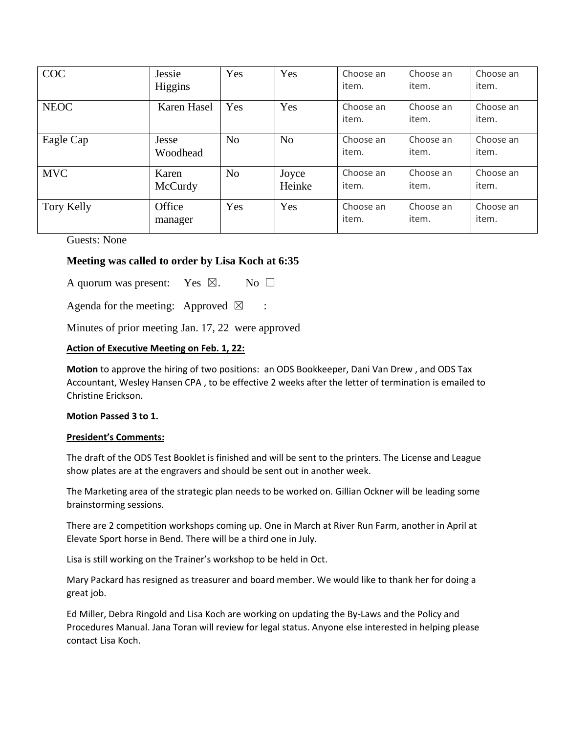| <b>COC</b>  | Jessie<br>Higgins | Yes            | Yes             | Choose an<br>item. | Choose an<br>item. | Choose an<br>item. |
|-------------|-------------------|----------------|-----------------|--------------------|--------------------|--------------------|
| <b>NEOC</b> | Karen Hasel       | Yes            | Yes             | Choose an<br>item. | Choose an<br>item. | Choose an<br>item. |
| Eagle Cap   | Jesse<br>Woodhead | N <sub>o</sub> | N <sub>o</sub>  | Choose an<br>item. | Choose an<br>item. | Choose an<br>item. |
| <b>MVC</b>  | Karen<br>McCurdy  | N <sub>o</sub> | Joyce<br>Heinke | Choose an<br>item. | Choose an<br>item. | Choose an<br>item. |
| Tory Kelly  | Office<br>manager | Yes            | Yes             | Choose an<br>item. | Choose an<br>item. | Choose an<br>item. |

Guests: None

## **Meeting was called to order by Lisa Koch at 6:35**

A quorum was present: Yes  $\boxtimes$ . No  $\square$ 

Agenda for the meeting: Approved  $\boxtimes$  :

Minutes of prior meeting Jan. 17, 22 were approved

### **Action of Executive Meeting on Feb. 1, 22:**

**Motion** to approve the hiring of two positions: an ODS Bookkeeper, Dani Van Drew , and ODS Tax Accountant, Wesley Hansen CPA , to be effective 2 weeks after the letter of termination is emailed to Christine Erickson.

### **Motion Passed 3 to 1.**

#### **President's Comments:**

The draft of the ODS Test Booklet is finished and will be sent to the printers. The License and League show plates are at the engravers and should be sent out in another week.

The Marketing area of the strategic plan needs to be worked on. Gillian Ockner will be leading some brainstorming sessions.

There are 2 competition workshops coming up. One in March at River Run Farm, another in April at Elevate Sport horse in Bend. There will be a third one in July.

Lisa is still working on the Trainer's workshop to be held in Oct.

Mary Packard has resigned as treasurer and board member. We would like to thank her for doing a great job.

Ed Miller, Debra Ringold and Lisa Koch are working on updating the By-Laws and the Policy and Procedures Manual. Jana Toran will review for legal status. Anyone else interested in helping please contact Lisa Koch.